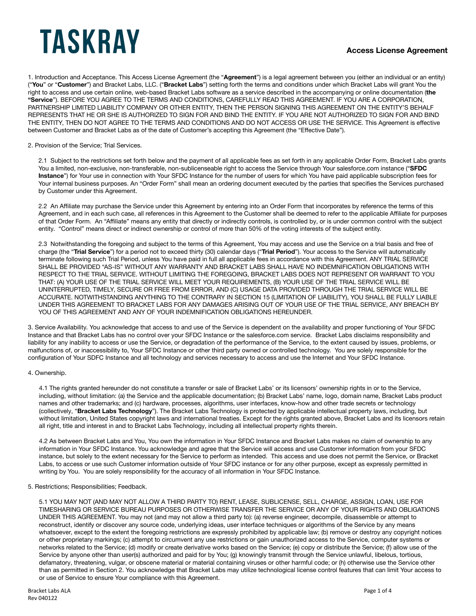1. Introduction and Acceptance. This Access License Agreement (the "**Agreement**") is a legal agreement between you (either an individual or an entity) ("**You**" or "**Customer**") and Bracket Labs, LLC. ("**Bracket Labs**") setting forth the terms and conditions under which Bracket Labs will grant You the right to access and use certain online, web-based Bracket Labs software as a service described in the accompanying or online documentation (**the "Service**"). BEFORE YOU AGREE TO THE TERMS AND CONDITIONS, CAREFULLY READ THIS AGREEMENT. IF YOU ARE A CORPORATION, PARTNERSHIP LIMITED LIABILITY COMPANY OR OTHER ENTITY, THEN THE PERSON SIGNING THIS AGREEMENT ON THE ENTITY'S BEHALF REPRESENTS THAT HE OR SHE IS AUTHORIZED TO SIGN FOR AND BIND THE ENTITY. IF YOU ARE NOT AUTHORIZED TO SIGN FOR AND BIND THE ENTITY, THEN DO NOT AGREE TO THE TERMS AND CONDITIONS AND DO NOT ACCESS OR USE THE SERVICE. This Agreement is effective between Customer and Bracket Labs as of the date of Customer's accepting this Agreement (the "Effective Date").

#### 2. Provision of the Service; Trial Services.

2.1 Subject to the restrictions set forth below and the payment of all applicable fees as set forth in any applicable Order Form, Bracket Labs grants You a limited, non-exclusive, non-transferable, non-sublicenseable right to access the Service through Your salesforce.com instance ("**SFDC Instance**") for Your use in connection with Your SFDC Instance for the number of users for which You have paid applicable subscription fees for Your internal business purposes. An "Order Form" shall mean an ordering document executed by the parties that specifies the Services purchased by Customer under this Agreement.

2.2 An Affiliate may purchase the Service under this Agreement by entering into an Order Form that incorporates by reference the terms of this Agreement, and in each such case, all references in this Agreement to the Customer shall be deemed to refer to the applicable Affiliate for purposes of that Order Form. An "Affiliate" means any entity that directly or indirectly controls, is controlled by, or is under common control with the subject entity. "Control" means direct or indirect ownership or control of more than 50% of the voting interests of the subject entity.

2.3 Notwithstanding the foregoing and subject to the terms of this Agreement, You may access and use the Service on a trial basis and free of charge (the "**Trial Service**") for a period not to exceed thirty (30) calendar days ("**Trial Period**"). Your access to the Service will automatically terminate following such Trial Period, unless You have paid in full all applicable fees in accordance with this Agreement. ANY TRIAL SERVICE SHALL BE PROVIDED "AS-IS" WITHOUT ANY WARRANTY AND BRACKET LABS SHALL HAVE NO INDEMNIFICATION OBLIGATIONS WITH RESPECT TO THE TRIAL SERVICE. WITHOUT LIMITING THE FOREGOING, BRACKET LABS DOES NOT REPRESENT OR WARRANT TO YOU THAT: (A) YOUR USE OF THE TRIAL SERVICE WILL MEET YOUR REQUIREMENTS, (B) YOUR USE OF THE TRIAL SERVICE WILL BE UNINTERRUPTED, TIMELY, SECURE OR FREE FROM ERROR, AND (C) USAGE DATA PROVIDED THROUGH THE TRIAL SERVICE WILL BE ACCURATE. NOTWITHSTANDING ANYTHING TO THE CONTRARY IN SECTION 15 (LIMITATION OF LIABILITY), YOU SHALL BE FULLY LIABLE UNDER THIS AGREEMENT TO BRACKET LABS FOR ANY DAMAGES ARISING OUT OF YOUR USE OF THE TRIAL SERVICE, ANY BREACH BY YOU OF THIS AGREEMENT AND ANY OF YOUR INDEMNIFICATION OBLIGATIONS HEREUNDER.

3. Service Availability. You acknowledge that access to and use of the Service is dependent on the availability and proper functioning of Your SFDC Instance and that Bracket Labs has no control over your SFDC Instance or the salesforce.com service. Bracket Labs disclaims responsibility and liability for any inability to access or use the Service, or degradation of the performance of the Service, to the extent caused by issues, problems, or malfunctions of, or inaccessibility to, Your SFDC Instance or other third party owned or controlled technology. You are solely responsible for the configuration of Your SDFC Instance and all technology and services necessary to access and use the Internet and Your SFDC Instance.

### 4. Ownership.

4.1 The rights granted hereunder do not constitute a transfer or sale of Bracket Labs' or its licensors' ownership rights in or to the Service, including, without limitation: (a) the Service and the applicable documentation; (b) Bracket Labs' name, logo, domain name, Bracket Labs product names and other trademarks; and (c) hardware, processes, algorithms, user interfaces, know-how and other trade secrets or technology (collectively, "**Bracket Labs Technology**"). The Bracket Labs Technology is protected by applicable intellectual property laws, including, but without limitation, United States copyright laws and international treaties. Except for the rights granted above, Bracket Labs and its licensors retain all right, title and interest in and to Bracket Labs Technology, including all intellectual property rights therein.

4.2 As between Bracket Labs and You, You own the information in Your SFDC Instance and Bracket Labs makes no claim of ownership to any information in Your SFDC Instance. You acknowledge and agree that the Service will access and use Customer information from your SFDC instance, but solely to the extent necessary for the Service to perform as intended. This access and use does not permit the Service, or Bracket Labs, to access or use such Customer information outside of Your SFDC instance or for any other purpose, except as expressly permitted in writing by You. You are solely responsibility for the accuracy of all information in Your SFDC Instance.

#### 5. Restrictions; Responsibilities; Feedback.

5.1 YOU MAY NOT (AND MAY NOT ALLOW A THIRD PARTY TO) RENT, LEASE, SUBLICENSE, SELL, CHARGE, ASSIGN, LOAN, USE FOR TIMESHARING OR SERVICE BUREAU PURPOSES OR OTHERWISE TRANSFER THE SERVICE OR ANY OF YOUR RIGHTS AND OBLIGATIONS UNDER THIS AGREEMENT. You may not (and may not allow a third party to): (a) reverse engineer, decompile, disassemble or attempt to reconstruct, identify or discover any source code, underlying ideas, user interface techniques or algorithms of the Service by any means whatsoever, except to the extent the foregoing restrictions are expressly prohibited by applicable law; (b) remove or destroy any copyright notices or other proprietary markings; (c) attempt to circumvent any use restrictions or gain unauthorized access to the Service, computer systems or networks related to the Service; (d) modify or create derivative works based on the Service; (e) copy or distribute the Service; (f) allow use of the Service by anyone other than user(s) authorized and paid for by You; (g) knowingly transmit through the Service unlawful, libelous, tortious, defamatory, threatening, vulgar, or obscene material or material containing viruses or other harmful code; or (h) otherwise use the Service other than as permitted in Section 2. You acknowledge that Bracket Labs may utilize technological license control features that can limit Your access to or use of Service to ensure Your compliance with this Agreement.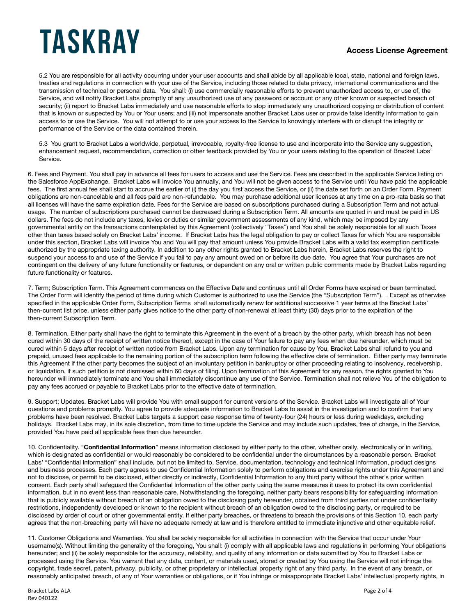### **Access License Agreement**

5.2 You are responsible for all activity occurring under your user accounts and shall abide by all applicable local, state, national and foreign laws, treaties and regulations in connection with your use of the Service, including those related to data privacy, international communications and the transmission of technical or personal data. You shall: (i) use commercially reasonable efforts to prevent unauthorized access to, or use of, the Service, and will notify Bracket Labs promptly of any unauthorized use of any password or account or any other known or suspected breach of security; (ii) report to Bracket Labs immediately and use reasonable efforts to stop immediately any unauthorized copying or distribution of content that is known or suspected by You or Your users; and (iii) not impersonate another Bracket Labs user or provide false identity information to gain access to or use the Service. You will not attempt to or use your access to the Service to knowingly interfere with or disrupt the integrity or performance of the Service or the data contained therein.

5.3 You grant to Bracket Labs a worldwide, perpetual, irrevocable, royalty-free license to use and incorporate into the Service any suggestion, enhancement request, recommendation, correction or other feedback provided by You or your users relating to the operation of Bracket Labs' Service.

6. Fees and Payment. You shall pay in advance all fees for users to access and use the Service. Fees are described in the applicable Service listing on the Salesforce AppExchange. Bracket Labs will invoice You annually, and You will not be given access to the Service until You have paid the applicable fees. The first annual fee shall start to accrue the earlier of (i) the day you first access the Service, or (ii) the date set forth on an Order Form. Payment obligations are non-cancelable and all fees paid are non-refundable. You may purchase additional user licenses at any time on a pro-rata basis so that all licenses will have the same expiration date. Fees for the Service are based on subscriptions purchased during a Subscription Term and not actual usage. The number of subscriptions purchased cannot be decreased during a Subscription Term. All amounts are quoted in and must be paid in US dollars. The fees do not include any taxes, levies or duties or similar government assessments of any kind, which may be imposed by any governmental entity on the transactions contemplated by this Agreement (collectively "Taxes") and You shall be solely responsible for all such Taxes other than taxes based solely on Bracket Labs' income. If Bracket Labs has the legal obligation to pay or collect Taxes for which You are responsible under this section, Bracket Labs will invoice You and You will pay that amount unless You provide Bracket Labs with a valid tax exemption certificate authorized by the appropriate taxing authority. In addition to any other rights granted to Bracket Labs herein, Bracket Labs reserves the right to suspend your access to and use of the Service if you fail to pay any amount owed on or before its due date. You agree that Your purchases are not contingent on the delivery of any future functionality or features, or dependent on any oral or written public comments made by Bracket Labs regarding future functionality or features.

7. Term; Subscription Term. This Agreement commences on the Effective Date and continues until all Order Forms have expired or been terminated. The Order Form will identify the period of time during which Customer is authorized to use the Service (the "Subscription Term"). . Except as otherwise specified in the applicable Order Form, Subscription Terms shall automatically renew for additional successive 1 year terms at the Bracket Labs' then-current list price, unless either party gives notice to the other party of non-renewal at least thirty (30) days prior to the expiration of the then-current Subscription Term.

8. Termination. Either party shall have the right to terminate this Agreement in the event of a breach by the other party, which breach has not been cured within 30 days of the receipt of written notice thereof, except in the case of Your failure to pay any fees when due hereunder, which must be cured within 5 days after receipt of written notice from Bracket Labs. Upon any termination for cause by You, Bracket Labs shall refund to you and prepaid, unused fees applicable to the remaining portion of the subscription term following the effective date of termination. Either party may terminate this Agreement if the other party becomes the subject of an involuntary petition in bankruptcy or other proceeding relating to insolvency, receivership, or liquidation, if such petition is not dismissed within 60 days of filing. Upon termination of this Agreement for any reason, the rights granted to You hereunder will immediately terminate and You shall immediately discontinue any use of the Service. Termination shall not relieve You of the obligation to pay any fees accrued or payable to Bracket Labs prior to the effective date of termination.

9. Support; Updates. Bracket Labs will provide You with email support for current versions of the Service. Bracket Labs will investigate all of Your questions and problems promptly. You agree to provide adequate information to Bracket Labs to assist in the investigation and to confirm that any problems have been resolved. Bracket Labs targets a support case response time of twenty-four (24) hours or less during weekdays, excluding holidays. Bracket Labs may, in its sole discretion, from time to time update the Service and may include such updates, free of charge, in the Service, provided You have paid all applicable fees then due hereunder.

10. Confidentiality. "**Confidential Information**" means information disclosed by either party to the other, whether orally, electronically or in writing, which is designated as confidential or would reasonably be considered to be confidential under the circumstances by a reasonable person. Bracket Labs' "Confidential Information" shall include, but not be limited to, Service, documentation, technology and technical information, product designs and business processes. Each party agrees to use Confidential Information solely to perform obligations and exercise rights under this Agreement and not to disclose, or permit to be disclosed, either directly or indirectly, Confidential Information to any third party without the other's prior written consent. Each party shall safeguard the Confidential Information of the other party using the same measures it uses to protect its own confidential information, but in no event less than reasonable care. Notwithstanding the foregoing, neither party bears responsibility for safeguarding information that is publicly available without breach of an obligation owed to the disclosing party hereunder, obtained from third parties not under confidentiality restrictions, independently developed or known to the recipient without breach of an obligation owed to the disclosing party, or required to be disclosed by order of court or other governmental entity. If either party breaches, or threatens to breach the provisions of this Section 10, each party agrees that the non-breaching party will have no adequate remedy at law and is therefore entitled to immediate injunctive and other equitable relief.

11. Customer Obligations and Warranties. You shall be solely responsible for all activities in connection with the Service that occur under Your username(s). Without limiting the generality of the foregoing, You shall: (i) comply with all applicable laws and regulations in performing Your obligations hereunder; and (ii) be solely responsible for the accuracy, reliability, and quality of any information or data submitted by You to Bracket Labs or processed using the Service. You warrant that any data, content, or materials used, stored or created by You using the Service will not infringe the copyright, trade secret, patent, privacy, publicity, or other proprietary or intellectual property right of any third party. In the event of any breach, or reasonably anticipated breach, of any of Your warranties or obligations, or if You infringe or misappropriate Bracket Labs' intellectual property rights, in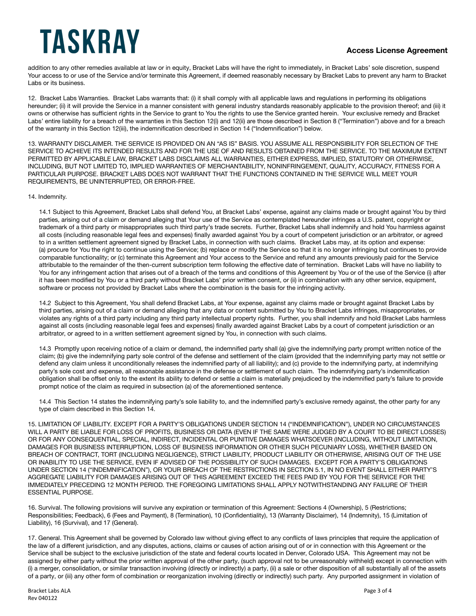### **Access License Agreement**

addition to any other remedies available at law or in equity, Bracket Labs will have the right to immediately, in Bracket Labs' sole discretion, suspend Your access to or use of the Service and/or terminate this Agreement, if deemed reasonably necessary by Bracket Labs to prevent any harm to Bracket Labs or its business.

12. Bracket Labs Warranties. Bracket Labs warrants that: (i) it shall comply with all applicable laws and regulations in performing its obligations hereunder; (ii) it will provide the Service in a manner consistent with general industry standards reasonably applicable to the provision thereof; and (iii) it owns or otherwise has sufficient rights in the Service to grant to You the rights to use the Service granted herein. Your exclusive remedy and Bracket Labs' entire liability for a breach of the warranties in this Section 12(i) and 12(ii) are those described in Section 8 ("Termination") above and for a breach of the warranty in this Section 12(iii), the indemnification described in Section 14 ("Indemnification") below.

13. WARRANTY DISCLAIMER. THE SERVICE IS PROVIDED ON AN "AS IS" BASIS. YOU ASSUME ALL RESPONSIBILITY FOR SELECTION OF THE SERVICE TO ACHIEVE ITS INTENDED RESULTS AND FOR THE USE OF AND RESULTS OBTAINED FROM THE SERVICE. TO THE MAXIMUM EXTENT PERMITTED BY APPLICABLE LAW, BRACKET LABS DISCLAIMS ALL WARRANTIES, EITHER EXPRESS, IMPLIED, STATUTORY OR OTHERWISE, INCLUDING, BUT NOT LIMITED TO, IMPLIED WARRANTIES OF MERCHANTABILITY, NONINFRINGEMENT, QUALITY, ACCURACY, FITNESS FOR A PARTICULAR PURPOSE. BRACKET LABS DOES NOT WARRANT THAT THE FUNCTIONS CONTAINED IN THE SERVICE WILL MEET YOUR REQUIREMENTS, BE UNINTERRUPTED, OR ERROR-FREE.

#### 14. Indemnity.

14.1 Subject to this Agreement, Bracket Labs shall defend You, at Bracket Labs' expense, against any claims made or brought against You by third parties, arising out of a claim or demand alleging that Your use of the Service as contemplated hereunder infringes a U.S. patent, copyright or trademark of a third party or misappropriates such third party's trade secrets. Further, Bracket Labs shall indemnify and hold You harmless against all costs (including reasonable legal fees and expenses) finally awarded against You by a court of competent jurisdiction or an arbitrator, or agreed to in a written settlement agreement signed by Bracket Labs, in connection with such claims. Bracket Labs may, at its option and expense: (a) procure for You the right to continue using the Service; (b) replace or modify the Service so that it is no longer infringing but continues to provide comparable functionality; or (c) terminate this Agreement and Your access to the Service and refund any amounts previously paid for the Service attributable to the remainder of the then-current subscription term following the effective date of termination. Bracket Labs will have no liability to You for any infringement action that arises out of a breach of the terms and conditions of this Agreement by You or of the use of the Service (i) after it has been modified by You or a third party without Bracket Labs' prior written consent, or (ii) in combination with any other service, equipment, software or process not provided by Bracket Labs where the combination is the basis for the infringing activity.

14.2 Subject to this Agreement, You shall defend Bracket Labs, at Your expense, against any claims made or brought against Bracket Labs by third parties, arising out of a claim or demand alleging that any data or content submitted by You to Bracket Labs infringes, misappropriates, or violates any rights of a third party including any third party intellectual property rights. Further, you shall indemnify and hold Bracket Labs harmless against all costs (including reasonable legal fees and expenses) finally awarded against Bracket Labs by a court of competent jurisdiction or an arbitrator, or agreed to in a written settlement agreement signed by You, in connection with such claims.

14.3 Promptly upon receiving notice of a claim or demand, the indemnified party shall (a) give the indemnifying party prompt written notice of the claim; (b) give the indemnifying party sole control of the defense and settlement of the claim (provided that the indemnifying party may not settle or defend any claim unless it unconditionally releases the indemnified party of all liability); and (c) provide to the indemnifying party, at indemnifying party's sole cost and expense, all reasonable assistance in the defense or settlement of such claim. The indemnifying party's indemnification obligation shall be offset only to the extent its ability to defend or settle a claim is materially prejudiced by the indemnified party's failure to provide prompt notice of the claim as required in subsection (a) of the aforementioned sentence.

14.4 This Section 14 states the indemnifying party's sole liability to, and the indemnified party's exclusive remedy against, the other party for any type of claim described in this Section 14.

15. LIMITATION OF LIABILITY. EXCEPT FOR A PARTY'S OBLIGATIONS UNDER SECTION 14 ("INDEMNIFICATION"), UNDER NO CIRCUMSTANCES WILL A PARTY BE LIABLE FOR LOSS OF PROFITS, BUSINESS OR DATA (EVEN IF THE SAME WERE JUDGED BY A COURT TO BE DIRECT LOSSES) OR FOR ANY CONSEQUENTIAL, SPECIAL, INDIRECT, INCIDENTAL OR PUNITIVE DAMAGES WHATSOEVER (INCLUDING, WITHOUT LIMITATION, DAMAGES FOR BUSINESS INTERRUPTION, LOSS OF BUSINESS INFORMATION OR OTHER SUCH PECUNIARY LOSS), WHETHER BASED ON BREACH OF CONTRACT, TORT (INCLUDING NEGLIGENCE), STRICT LIABILITY, PRODUCT LIABILITY OR OTHERWISE, ARISING OUT OF THE USE OR INABILITY TO USE THE SERVICE, EVEN IF ADVISED OF THE POSSIBILITY OF SUCH DAMAGES. EXCEPT FOR A PARTY'S OBLIGATIONS UNDER SECTION 14 ("INDEMNIFICATION"), OR YOUR BREACH OF THE RESTRICTIONS IN SECTION 5.1, IN NO EVENT SHALL EITHER PARTY'S AGGREGATE LIABILITY FOR DAMAGES ARISING OUT OF THIS AGREEMENT EXCEED THE FEES PAID BY YOU FOR THE SERVICE FOR THE IMMEDIATELY PRECEDING 12 MONTH PERIOD. THE FOREGOING LIMITATIONS SHALL APPLY NOTWITHSTANDING ANY FAILURE OF THEIR ESSENTIAL PURPOSE.

16. Survival. The following provisions will survive any expiration or termination of this Agreement: Sections 4 (Ownership), 5 (Restrictions; Responsibilities; Feedback), 6 (Fees and Payment), 8 (Termination), 10 (Confidentiality), 13 (Warranty Disclaimer), 14 (Indemnity), 15 (Limitation of Liability), 16 (Survival), and 17 (General).

17. General. This Agreement shall be governed by Colorado law without giving effect to any conflicts of laws principles that require the application of the law of a different jurisdiction, and any disputes, actions, claims or causes of action arising out of or in connection with this Agreement or the Service shall be subject to the exclusive jurisdiction of the state and federal courts located in Denver, Colorado USA. This Agreement may not be assigned by either party without the prior written approval of the other party, (such approval not to be unreasonably withheld) except in connection with (i) a merger, consolidation, or similar transaction involving (directly or indirectly) a party, (ii) a sale or other disposition of all substantially all of the assets of a party, or (iii) any other form of combination or reorganization involving (directly or indirectly) such party. Any purported assignment in violation of